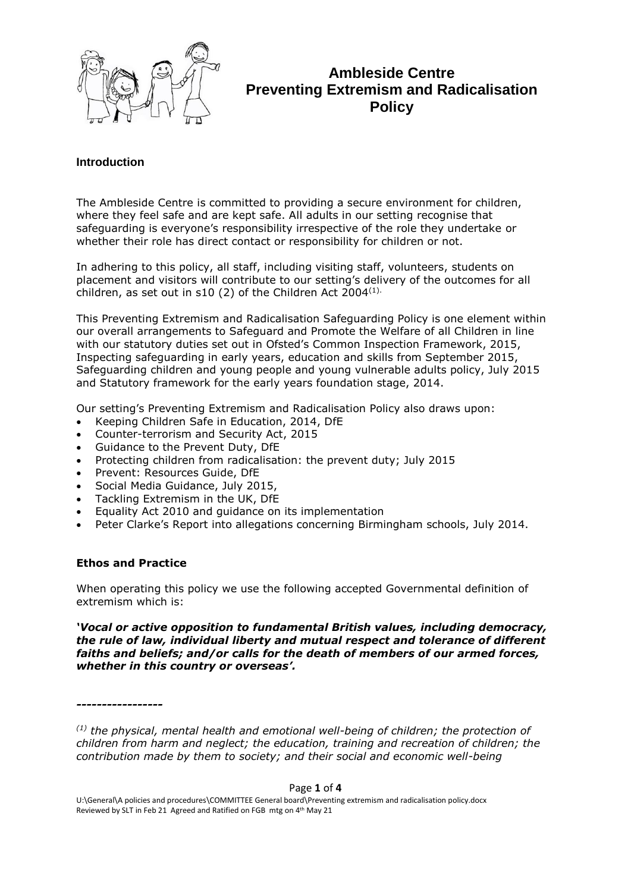

# **Ambleside Centre Preventing Extremism and Radicalisation Policy**

### **Introduction**

The Ambleside Centre is committed to providing a secure environment for children, where they feel safe and are kept safe. All adults in our setting recognise that safeguarding is everyone's responsibility irrespective of the role they undertake or whether their role has direct contact or responsibility for children or not.

In adhering to this policy, all staff, including visiting staff, volunteers, students on placement and visitors will contribute to our setting's delivery of the outcomes for all children, as set out in s10 (2) of the Children Act  $2004^{(1)}$ .

This Preventing Extremism and Radicalisation Safeguarding Policy is one element within our overall arrangements to Safeguard and Promote the Welfare of all Children in line with our statutory duties set out in Ofsted's Common Inspection Framework, 2015, Inspecting safeguarding in early years, education and skills from September 2015, Safeguarding children and young people and young vulnerable adults policy, July 2015 and Statutory framework for the early years foundation stage, 2014.

Our setting's Preventing Extremism and Radicalisation Policy also draws upon:

- Keeping Children Safe in Education, 2014, DfE
- Counter-terrorism and Security Act, 2015
- Guidance to the Prevent Duty, DfE
- Protecting children from radicalisation: the prevent duty; July 2015
- Prevent: Resources Guide, DfE
- Social Media Guidance, July 2015,
- Tackling Extremism in the UK, DfE
- Equality Act 2010 and guidance on its implementation
- Peter Clarke's Report into allegations concerning Birmingham schools, July 2014.

### **Ethos and Practice**

When operating this policy we use the following accepted Governmental definition of extremism which is:

*'Vocal or active opposition to fundamental British values, including democracy, the rule of law, individual liberty and mutual respect and tolerance of different faiths and beliefs; and/or calls for the death of members of our armed forces, whether in this country or overseas'.*

*-----------------*

*(1) the physical, mental health and emotional well-being of children; the protection of children from harm and neglect; the education, training and recreation of children; the contribution made by them to society; and their social and economic well-being*

Page **1** of **4**

U:\General\A policies and procedures\COMMITTEE General board\Preventing extremism and radicalisation policy.docx Reviewed by SLT in Feb 21 Agreed and Ratified on FGB mtg on 4<sup>th</sup> May 21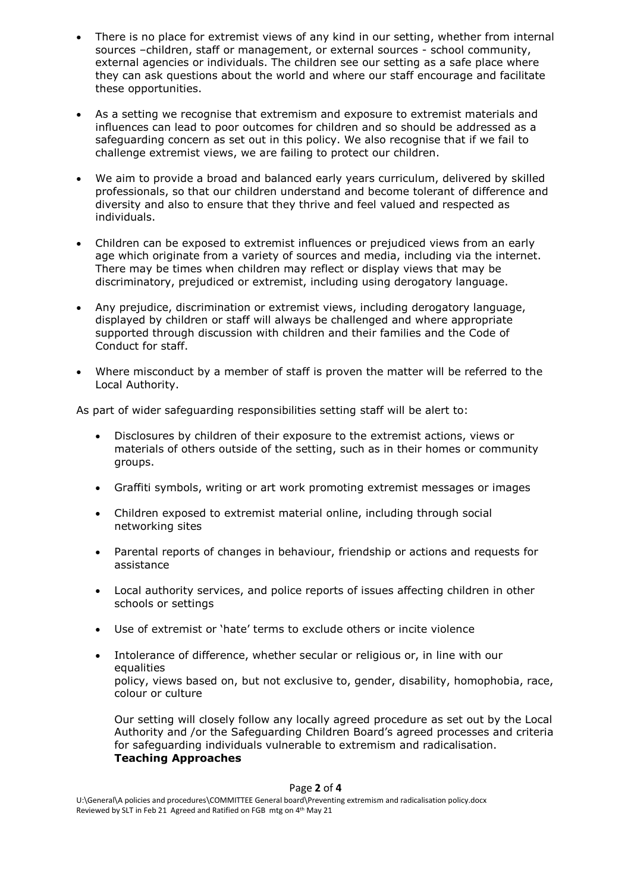- There is no place for extremist views of any kind in our setting, whether from internal sources –children, staff or management, or external sources - school community, external agencies or individuals. The children see our setting as a safe place where they can ask questions about the world and where our staff encourage and facilitate these opportunities.
- As a setting we recognise that extremism and exposure to extremist materials and influences can lead to poor outcomes for children and so should be addressed as a safeguarding concern as set out in this policy. We also recognise that if we fail to challenge extremist views, we are failing to protect our children.
- We aim to provide a broad and balanced early years curriculum, delivered by skilled professionals, so that our children understand and become tolerant of difference and diversity and also to ensure that they thrive and feel valued and respected as individuals.
- Children can be exposed to extremist influences or prejudiced views from an early age which originate from a variety of sources and media, including via the internet. There may be times when children may reflect or display views that may be discriminatory, prejudiced or extremist, including using derogatory language.
- Any prejudice, discrimination or extremist views, including derogatory language, displayed by children or staff will always be challenged and where appropriate supported through discussion with children and their families and the Code of Conduct for staff.
- Where misconduct by a member of staff is proven the matter will be referred to the Local Authority.

As part of wider safeguarding responsibilities setting staff will be alert to:

- Disclosures by children of their exposure to the extremist actions, views or materials of others outside of the setting, such as in their homes or community groups.
- Graffiti symbols, writing or art work promoting extremist messages or images
- Children exposed to extremist material online, including through social networking sites
- Parental reports of changes in behaviour, friendship or actions and requests for assistance
- Local authority services, and police reports of issues affecting children in other schools or settings
- Use of extremist or 'hate' terms to exclude others or incite violence
- Intolerance of difference, whether secular or religious or, in line with our equalities policy, views based on, but not exclusive to, gender, disability, homophobia, race, colour or culture

Our setting will closely follow any locally agreed procedure as set out by the Local Authority and /or the Safeguarding Children Board's agreed processes and criteria for safeguarding individuals vulnerable to extremism and radicalisation. **Teaching Approaches**

### Page **2** of **4**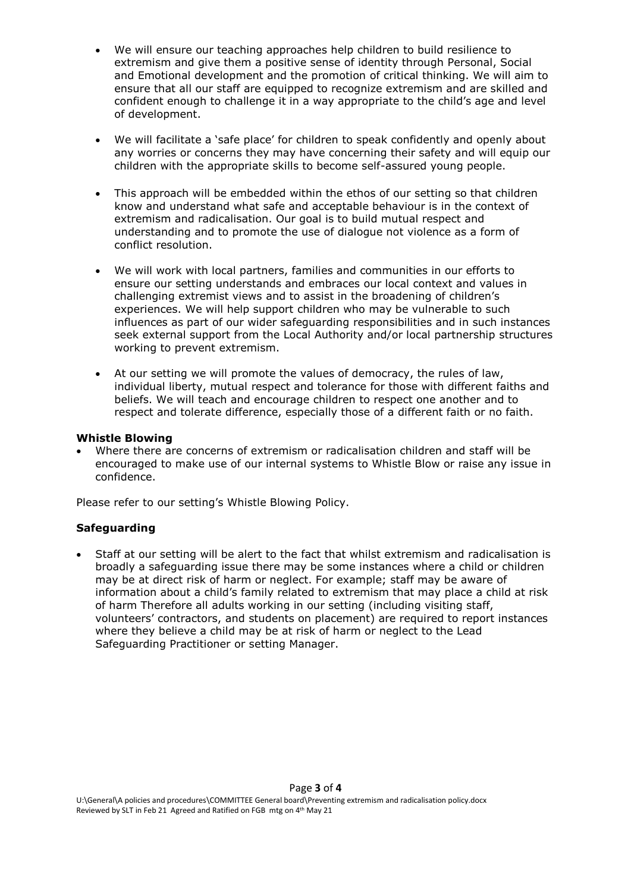- We will ensure our teaching approaches help children to build resilience to extremism and give them a positive sense of identity through Personal, Social and Emotional development and the promotion of critical thinking. We will aim to ensure that all our staff are equipped to recognize extremism and are skilled and confident enough to challenge it in a way appropriate to the child's age and level of development.
- We will facilitate a 'safe place' for children to speak confidently and openly about any worries or concerns they may have concerning their safety and will equip our children with the appropriate skills to become self-assured young people.
- This approach will be embedded within the ethos of our setting so that children know and understand what safe and acceptable behaviour is in the context of extremism and radicalisation. Our goal is to build mutual respect and understanding and to promote the use of dialogue not violence as a form of conflict resolution.
- We will work with local partners, families and communities in our efforts to ensure our setting understands and embraces our local context and values in challenging extremist views and to assist in the broadening of children's experiences. We will help support children who may be vulnerable to such influences as part of our wider safeguarding responsibilities and in such instances seek external support from the Local Authority and/or local partnership structures working to prevent extremism.
- At our setting we will promote the values of democracy, the rules of law, individual liberty, mutual respect and tolerance for those with different faiths and beliefs. We will teach and encourage children to respect one another and to respect and tolerate difference, especially those of a different faith or no faith.

### **Whistle Blowing**

 Where there are concerns of extremism or radicalisation children and staff will be encouraged to make use of our internal systems to Whistle Blow or raise any issue in confidence.

Please refer to our setting's Whistle Blowing Policy.

### **Safeguarding**

 Staff at our setting will be alert to the fact that whilst extremism and radicalisation is broadly a safeguarding issue there may be some instances where a child or children may be at direct risk of harm or neglect. For example; staff may be aware of information about a child's family related to extremism that may place a child at risk of harm Therefore all adults working in our setting (including visiting staff, volunteers' contractors, and students on placement) are required to report instances where they believe a child may be at risk of harm or neglect to the Lead Safeguarding Practitioner or setting Manager.

#### Page **3** of **4**